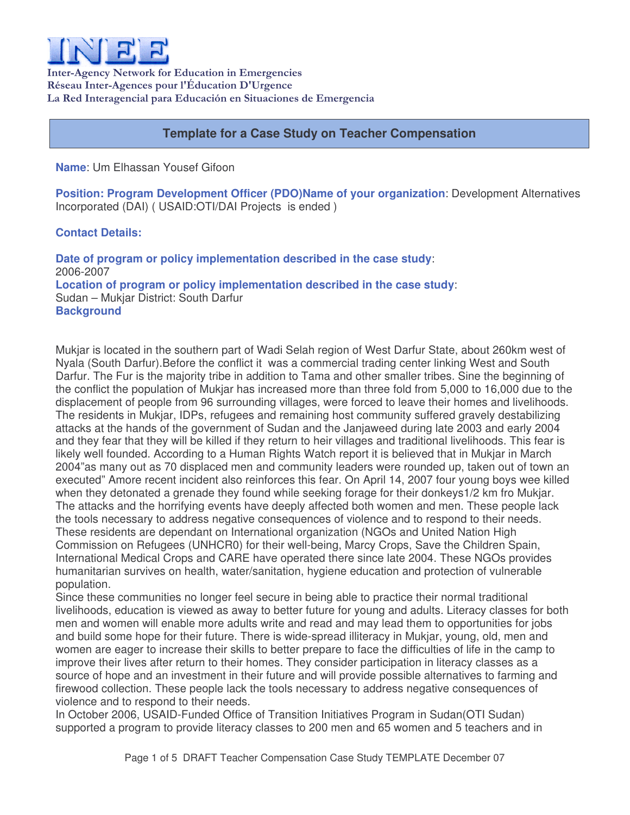

Inter-Agency Network for Education in Emergencies Réseau Inter-Agences pour l'Éducation D'Urgence La Red Interagencial para Educación en Situaciones de Emergencia

# **Template for a Case Study on Teacher Compensation**

**Name**: Um Elhassan Yousef Gifoon

**Position: Program Development Officer (PDO)Name of your organization**: Development Alternatives Incorporated (DAI) ( USAID:OTI/DAI Projects is ended )

## **Contact Details:**

**Date of program or policy implementation described in the case study**: 2006-2007 **Location of program or policy implementation described in the case study**: Sudan – Mukjar District: South Darfur **Background**

Mukjar is located in the southern part of Wadi Selah region of West Darfur State, about 260km west of Nyala (South Darfur).Before the conflict it was a commercial trading center linking West and South Darfur. The Fur is the majority tribe in addition to Tama and other smaller tribes. Sine the beginning of the conflict the population of Mukjar has increased more than three fold from 5,000 to 16,000 due to the displacement of people from 96 surrounding villages, were forced to leave their homes and livelihoods. The residents in Mukjar, IDPs, refugees and remaining host community suffered gravely destabilizing attacks at the hands of the government of Sudan and the Janjaweed during late 2003 and early 2004 and they fear that they will be killed if they return to heir villages and traditional livelihoods. This fear is likely well founded. According to a Human Rights Watch report it is believed that in Mukjar in March 2004"as many out as 70 displaced men and community leaders were rounded up, taken out of town an executed" Amore recent incident also reinforces this fear. On April 14, 2007 four young boys wee killed when they detonated a grenade they found while seeking forage for their donkeys1/2 km fro Mukjar. The attacks and the horrifying events have deeply affected both women and men. These people lack the tools necessary to address negative consequences of violence and to respond to their needs. These residents are dependant on International organization (NGOs and United Nation High Commission on Refugees (UNHCR0) for their well-being, Marcy Crops, Save the Children Spain, International Medical Crops and CARE have operated there since late 2004. These NGOs provides humanitarian survives on health, water/sanitation, hygiene education and protection of vulnerable population.

Since these communities no longer feel secure in being able to practice their normal traditional livelihoods, education is viewed as away to better future for young and adults. Literacy classes for both men and women will enable more adults write and read and may lead them to opportunities for jobs and build some hope for their future. There is wide-spread illiteracy in Mukjar, young, old, men and women are eager to increase their skills to better prepare to face the difficulties of life in the camp to improve their lives after return to their homes. They consider participation in literacy classes as a source of hope and an investment in their future and will provide possible alternatives to farming and firewood collection. These people lack the tools necessary to address negative consequences of violence and to respond to their needs.

In October 2006, USAID-Funded Office of Transition Initiatives Program in Sudan(OTI Sudan) supported a program to provide literacy classes to 200 men and 65 women and 5 teachers and in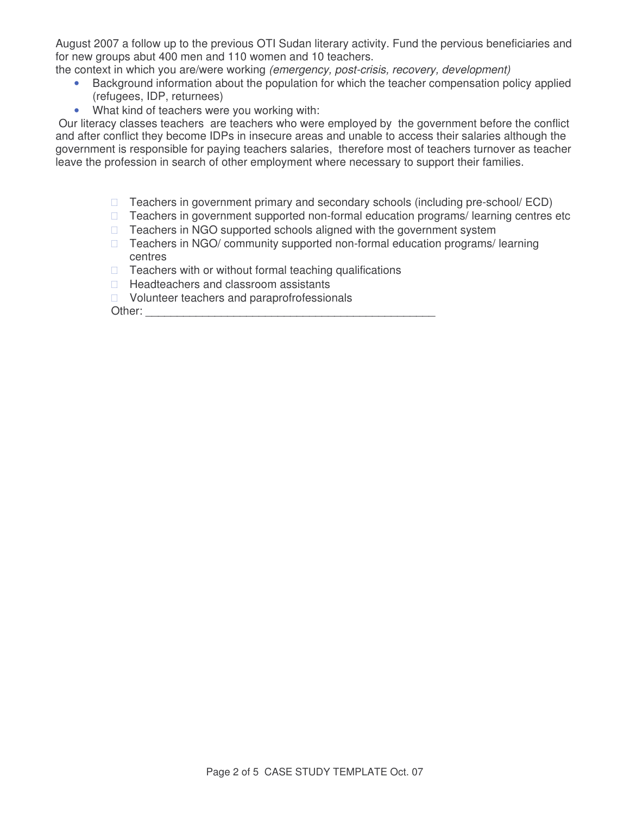August 2007 a follow up to the previous OTI Sudan literary activity. Fund the pervious beneficiaries and for new groups abut 400 men and 110 women and 10 teachers.

the context in which you are/were working *(emergency, post-crisis, recovery, development)*

- Background information about the population for which the teacher compensation policy applied (refugees, IDP, returnees)
- What kind of teachers were you working with:

Our literacy classes teachers are teachers who were employed by the government before the conflict and after conflict they become IDPs in insecure areas and unable to access their salaries although the government is responsible for paying teachers salaries, therefore most of teachers turnover as teacher leave the profession in search of other employment where necessary to support their families.

> Teachers in government primary and secondary schools (including pre-school/ ECD) Teachers in government supported non-formal education programs/ learning centres etc Teachers in NGO supported schools aligned with the government system Teachers in NGO/ community supported non-formal education programs/ learning centres

Teachers with or without formal teaching qualifications

Headteachers and classroom assistants

Volunteer teachers and paraprofrofessionals

Other: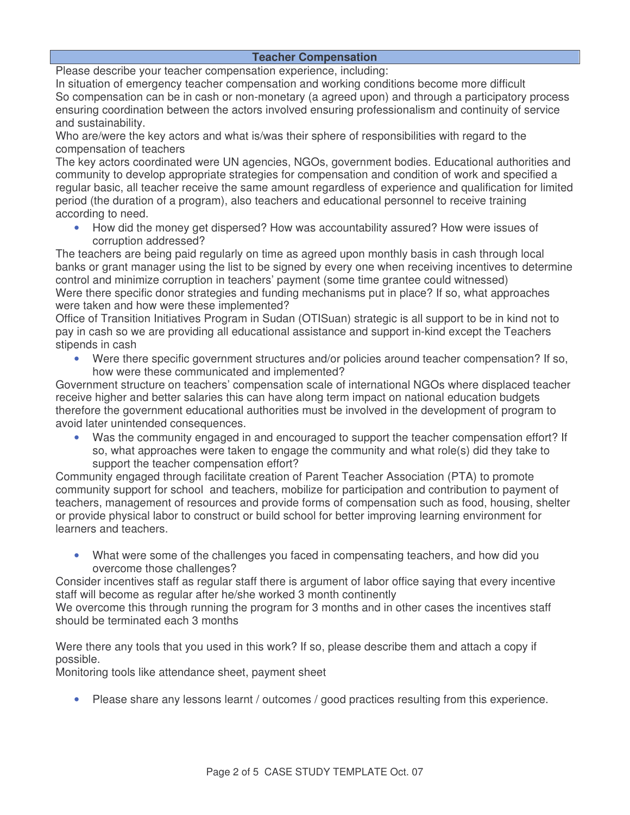### **Teacher Compensation**

Please describe your teacher compensation experience, including:

In situation of emergency teacher compensation and working conditions become more difficult So compensation can be in cash or non-monetary (a agreed upon) and through a participatory process ensuring coordination between the actors involved ensuring professionalism and continuity of service and sustainability.

Who are/were the key actors and what is/was their sphere of responsibilities with regard to the compensation of teachers

The key actors coordinated were UN agencies, NGOs, government bodies. Educational authorities and community to develop appropriate strategies for compensation and condition of work and specified a regular basic, all teacher receive the same amount regardless of experience and qualification for limited period (the duration of a program), also teachers and educational personnel to receive training according to need.

• How did the money get dispersed? How was accountability assured? How were issues of corruption addressed?

The teachers are being paid regularly on time as agreed upon monthly basis in cash through local banks or grant manager using the list to be signed by every one when receiving incentives to determine control and minimize corruption in teachers' payment (some time grantee could witnessed) Were there specific donor strategies and funding mechanisms put in place? If so, what approaches were taken and how were these implemented?

Office of Transition Initiatives Program in Sudan (OTISuan) strategic is all support to be in kind not to pay in cash so we are providing all educational assistance and support in-kind except the Teachers stipends in cash

• Were there specific government structures and/or policies around teacher compensation? If so, how were these communicated and implemented?

Government structure on teachers' compensation scale of international NGOs where displaced teacher receive higher and better salaries this can have along term impact on national education budgets therefore the government educational authorities must be involved in the development of program to avoid later unintended consequences.

• Was the community engaged in and encouraged to support the teacher compensation effort? If so, what approaches were taken to engage the community and what role(s) did they take to support the teacher compensation effort?

Community engaged through facilitate creation of Parent Teacher Association (PTA) to promote community support for school and teachers, mobilize for participation and contribution to payment of teachers, management of resources and provide forms of compensation such as food, housing, shelter or provide physical labor to construct or build school for better improving learning environment for learners and teachers.

• What were some of the challenges you faced in compensating teachers, and how did you overcome those challenges?

Consider incentives staff as regular staff there is argument of labor office saying that every incentive staff will become as regular after he/she worked 3 month continently

We overcome this through running the program for 3 months and in other cases the incentives staff should be terminated each 3 months

Were there any tools that you used in this work? If so, please describe them and attach a copy if possible.

Monitoring tools like attendance sheet, payment sheet

• Please share any lessons learnt / outcomes / good practices resulting from this experience.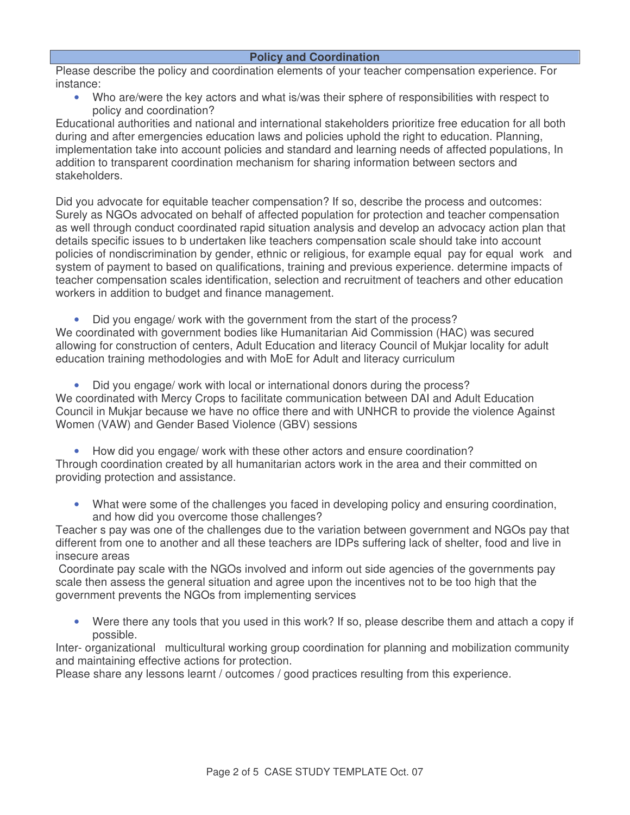#### **Policy and Coordination**

Please describe the policy and coordination elements of your teacher compensation experience. For instance:

• Who are/were the key actors and what is/was their sphere of responsibilities with respect to policy and coordination?

Educational authorities and national and international stakeholders prioritize free education for all both during and after emergencies education laws and policies uphold the right to education. Planning, implementation take into account policies and standard and learning needs of affected populations, In addition to transparent coordination mechanism for sharing information between sectors and stakeholders.

Did you advocate for equitable teacher compensation? If so, describe the process and outcomes: Surely as NGOs advocated on behalf of affected population for protection and teacher compensation as well through conduct coordinated rapid situation analysis and develop an advocacy action plan that details specific issues to b undertaken like teachers compensation scale should take into account policies of nondiscrimination by gender, ethnic or religious, for example equal pay for equal work and system of payment to based on qualifications, training and previous experience. determine impacts of teacher compensation scales identification, selection and recruitment of teachers and other education workers in addition to budget and finance management.

• Did you engage/ work with the government from the start of the process? We coordinated with government bodies like Humanitarian Aid Commission (HAC) was secured allowing for construction of centers, Adult Education and literacy Council of Mukjar locality for adult education training methodologies and with MoE for Adult and literacy curriculum

• Did you engage/ work with local or international donors during the process? We coordinated with Mercy Crops to facilitate communication between DAI and Adult Education Council in Mukjar because we have no office there and with UNHCR to provide the violence Against Women (VAW) and Gender Based Violence (GBV) sessions

• How did you engage/ work with these other actors and ensure coordination? Through coordination created by all humanitarian actors work in the area and their committed on providing protection and assistance.

• What were some of the challenges you faced in developing policy and ensuring coordination, and how did you overcome those challenges?

Teacher s pay was one of the challenges due to the variation between government and NGOs pay that different from one to another and all these teachers are IDPs suffering lack of shelter, food and live in insecure areas

Coordinate pay scale with the NGOs involved and inform out side agencies of the governments pay scale then assess the general situation and agree upon the incentives not to be too high that the government prevents the NGOs from implementing services

• Were there any tools that you used in this work? If so, please describe them and attach a copy if possible.

Inter- organizational multicultural working group coordination for planning and mobilization community and maintaining effective actions for protection.

Please share any lessons learnt / outcomes / good practices resulting from this experience.